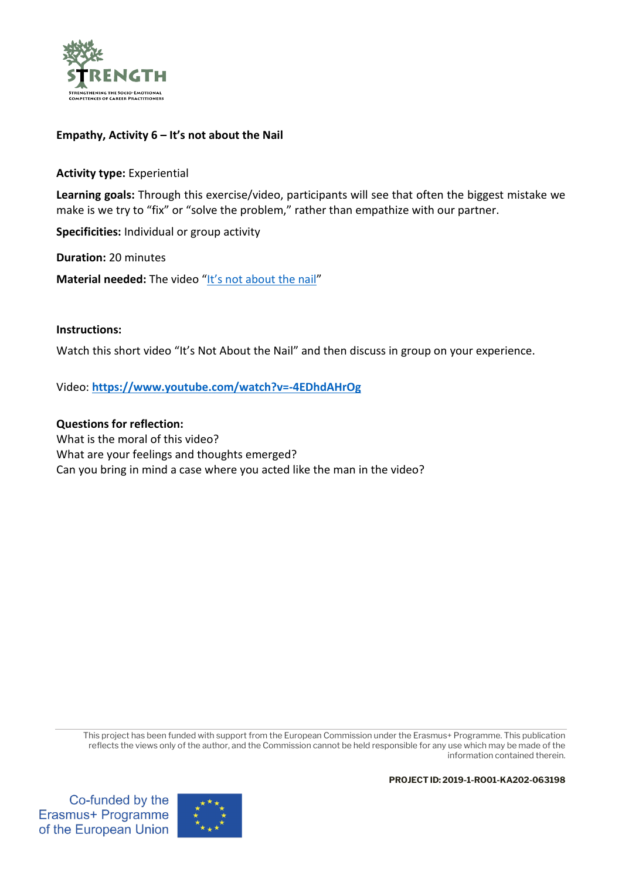

## **Empathy, Activity 6 – It's not about the Nail**

**Activity type:** Experiential

**Learning goals:** Through this exercise/video, participants will see that often the biggest mistake we make is we try to "fix" or "solve the problem," rather than empathize with our partner.

**Specificities:** Individual or group activity

**Duration:** 20 minutes

**Material needed:** The video ["It's not about the nail"](https://www.youtube.com/watch?v=-4EDhdAHrOg)

## **Instructions:**

Watch this short video "It's Not About the Nail" and then discuss in group on your experience.

Video: **<https://www.youtube.com/watch?v=-4EDhdAHrOg>**

## **Questions for reflection:**

What is the moral of this video? What are your feelings and thoughts emerged? Can you bring in mind a case where you acted like the man in the video?

This project has been funded with support from the European Commission under the Erasmus+ Programme. This publication reflects the views only of the author, and the Commission cannot be held responsible for any use which may be made of the information contained therein.

**PROJECTID: 2019-1-RO01-KA202-063198**

Co-funded by the Erasmus+ Programme of the European Union